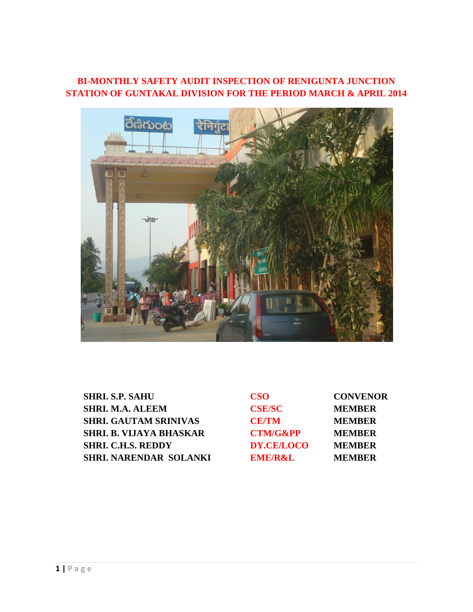## **BI-MONTHLY SAFETY AUDIT INSPECTION OF RENIGUNTA JUNCTION STATION OF GUNTAKAL DIVISION FOR THE PERIOD MARCH & APRIL 2014**



| <b>SHRI. S.P. SAHU</b>         | <b>CSO</b>          | <b>CONVENOR</b> |
|--------------------------------|---------------------|-----------------|
| <b>SHRI. M.A. ALEEM</b>        | <b>CSE/SC</b>       | <b>MEMBER</b>   |
| <b>SHRI. GAUTAM SRINIVAS</b>   | <b>CE/TM</b>        | <b>MEMBER</b>   |
| <b>SHRI. B. VIJAYA BHASKAR</b> | <b>CTM/G&amp;PP</b> | <b>MEMBER</b>   |
| <b>SHRI. C.H.S. REDDY</b>      | DY.CE/LOCO          | <b>MEMBER</b>   |
| <b>SHRI. NARENDAR SOLANKI</b>  | <b>EME/R&amp;L</b>  | <b>MEMBER</b>   |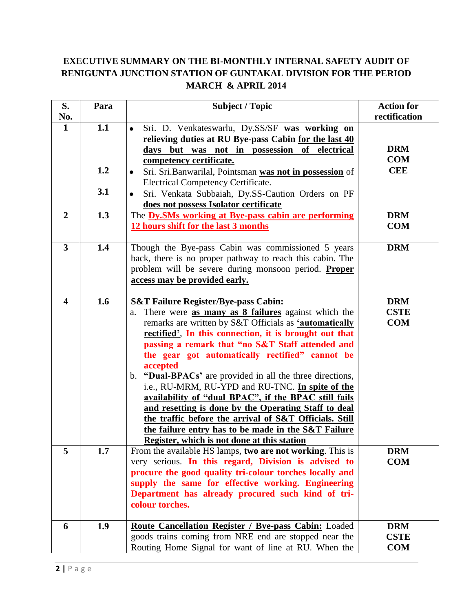# **EXECUTIVE SUMMARY ON THE BI-MONTHLY INTERNAL SAFETY AUDIT OF RENIGUNTA JUNCTION STATION OF GUNTAKAL DIVISION FOR THE PERIOD MARCH & APRIL 2014**

| S.                      | Para              | <b>Subject / Topic</b>                                                                                                                                                                                                                                                                                                                                                                                                                                                                                                                                                                                                                                                                                                                              | <b>Action for</b>                       |
|-------------------------|-------------------|-----------------------------------------------------------------------------------------------------------------------------------------------------------------------------------------------------------------------------------------------------------------------------------------------------------------------------------------------------------------------------------------------------------------------------------------------------------------------------------------------------------------------------------------------------------------------------------------------------------------------------------------------------------------------------------------------------------------------------------------------------|-----------------------------------------|
| No.                     |                   |                                                                                                                                                                                                                                                                                                                                                                                                                                                                                                                                                                                                                                                                                                                                                     | rectification                           |
| $\mathbf 1$             | 1.1<br>1.2<br>3.1 | Sri. D. Venkateswarlu, Dy.SS/SF was working on<br>$\bullet$<br>relieving duties at RU Bye-pass Cabin for the last 40<br>days but was not in possession of electrical<br>competency certificate.<br>Sri. Sri. Banwarilal, Pointsman was not in possession of<br><b>Electrical Competency Certificate.</b><br>Sri. Venkata Subbaiah, Dy.SS-Caution Orders on PF<br>$\bullet$<br>does not possess Isolator certificate                                                                                                                                                                                                                                                                                                                                 | <b>DRM</b><br><b>COM</b><br><b>CEE</b>  |
| $\overline{2}$          | 1.3               | The Dy.SMs working at Bye-pass cabin are performing                                                                                                                                                                                                                                                                                                                                                                                                                                                                                                                                                                                                                                                                                                 | <b>DRM</b>                              |
|                         |                   | 12 hours shift for the last 3 months                                                                                                                                                                                                                                                                                                                                                                                                                                                                                                                                                                                                                                                                                                                | <b>COM</b>                              |
| $\overline{3}$          | 1.4               | Though the Bye-pass Cabin was commissioned 5 years<br>back, there is no proper pathway to reach this cabin. The<br>problem will be severe during monsoon period. Proper<br>access may be provided early.                                                                                                                                                                                                                                                                                                                                                                                                                                                                                                                                            | <b>DRM</b>                              |
| $\overline{\mathbf{4}}$ | 1.6               | <b>S&amp;T Failure Register/Bye-pass Cabin:</b><br>There were as many as 8 failures against which the<br>a.<br>remarks are written by S&T Officials as 'automatically<br>rectified'. In this connection, it is brought out that<br>passing a remark that "no S&T Staff attended and<br>the gear got automatically rectified" cannot be<br>accepted<br>b. "Dual-BPACs' are provided in all the three directions,<br>i.e., RU-MRM, RU-YPD and RU-TNC. In spite of the<br>availability of "dual BPAC", if the BPAC still fails<br>and resetting is done by the Operating Staff to deal<br>the traffic before the arrival of S&T Officials. Still<br>the failure entry has to be made in the S&T Failure<br>Register, which is not done at this station | <b>DRM</b><br><b>CSTE</b><br><b>COM</b> |
| 5                       | 1.7               | From the available HS lamps, two are not working. This is<br>very serious. In this regard, Division is advised to<br>procure the good quality tri-colour torches locally and<br>supply the same for effective working. Engineering<br>Department has already procured such kind of tri-<br>colour torches.                                                                                                                                                                                                                                                                                                                                                                                                                                          | <b>DRM</b><br><b>COM</b>                |
| 6                       | 1.9               | <b>Route Cancellation Register / Bye-pass Cabin:</b> Loaded<br>goods trains coming from NRE end are stopped near the<br>Routing Home Signal for want of line at RU. When the                                                                                                                                                                                                                                                                                                                                                                                                                                                                                                                                                                        | <b>DRM</b><br><b>CSTE</b><br><b>COM</b> |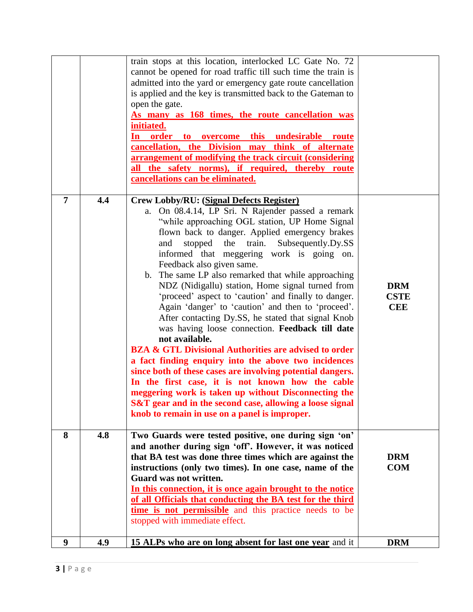|                |     | train stops at this location, interlocked LC Gate No. 72<br>cannot be opened for road traffic till such time the train is<br>admitted into the yard or emergency gate route cancellation<br>is applied and the key is transmitted back to the Gateman to<br>open the gate.<br>As many as 168 times, the route cancellation was<br>initiated.<br>In order to overcome this undesirable route<br>cancellation, the Division may think of alternate<br>arrangement of modifying the track circuit (considering<br>all the safety norms), if required, thereby route<br>cancellations can be eliminated.                                                                                                                                                                                                                                                                                                                                                                                                                                                                                                         |                                         |
|----------------|-----|--------------------------------------------------------------------------------------------------------------------------------------------------------------------------------------------------------------------------------------------------------------------------------------------------------------------------------------------------------------------------------------------------------------------------------------------------------------------------------------------------------------------------------------------------------------------------------------------------------------------------------------------------------------------------------------------------------------------------------------------------------------------------------------------------------------------------------------------------------------------------------------------------------------------------------------------------------------------------------------------------------------------------------------------------------------------------------------------------------------|-----------------------------------------|
| $\overline{7}$ | 4.4 | <b>Crew Lobby/RU: (Signal Defects Register)</b><br>On 08.4.14, LP Sri. N Rajender passed a remark<br>a.<br>"while approaching OGL station, UP Home Signal<br>flown back to danger. Applied emergency brakes<br>stopped the train. Subsequently.Dy.SS<br>and<br>informed that meggering work is going on.<br>Feedback also given same.<br>b. The same LP also remarked that while approaching<br>NDZ (Nidigallu) station, Home signal turned from<br>'proceed' aspect to 'caution' and finally to danger.<br>Again 'danger' to 'caution' and then to 'proceed'.<br>After contacting Dy.SS, he stated that signal Knob<br>was having loose connection. Feedback till date<br>not available.<br><b>BZA &amp; GTL Divisional Authorities are advised to order</b><br>a fact finding enquiry into the above two incidences<br>since both of these cases are involving potential dangers.<br>In the first case, it is not known how the cable<br>meggering work is taken up without Disconnecting the<br>S&T gear and in the second case, allowing a loose signal<br>knob to remain in use on a panel is improper. | <b>DRM</b><br><b>CSTE</b><br><b>CEE</b> |
| 8              | 4.8 | Two Guards were tested positive, one during sign 'on'<br>and another during sign 'off'. However, it was noticed<br>that BA test was done three times which are against the<br>instructions (only two times). In one case, name of the<br>Guard was not written.<br>In this connection, it is once again brought to the notice<br>of all Officials that conducting the BA test for the third<br>time is not permissible and this practice needs to be<br>stopped with immediate effect.                                                                                                                                                                                                                                                                                                                                                                                                                                                                                                                                                                                                                       | <b>DRM</b><br><b>COM</b>                |
| 9              | 4.9 | 15 ALPs who are on long absent for last one year and it                                                                                                                                                                                                                                                                                                                                                                                                                                                                                                                                                                                                                                                                                                                                                                                                                                                                                                                                                                                                                                                      | <b>DRM</b>                              |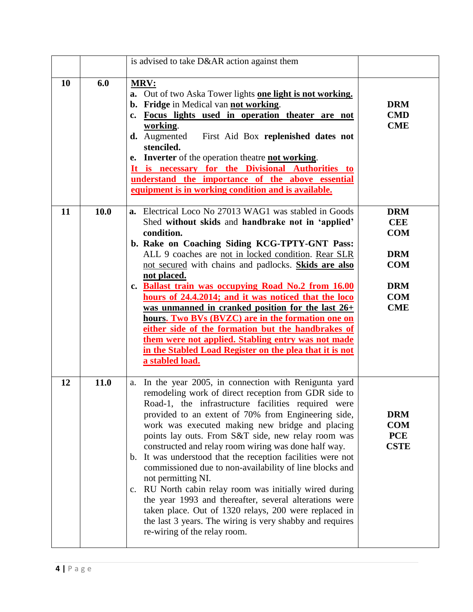|    |      | is advised to take D&AR action against them                                                                                                                                                                                                                                                                                                                                                                                                                                                                                                                                                                                                                                                                                                                                                                                |                                                                                                              |
|----|------|----------------------------------------------------------------------------------------------------------------------------------------------------------------------------------------------------------------------------------------------------------------------------------------------------------------------------------------------------------------------------------------------------------------------------------------------------------------------------------------------------------------------------------------------------------------------------------------------------------------------------------------------------------------------------------------------------------------------------------------------------------------------------------------------------------------------------|--------------------------------------------------------------------------------------------------------------|
| 10 | 6.0  | <b>MRV:</b><br>a. Out of two Aska Tower lights one light is not working.<br>b. Fridge in Medical van not working.<br>c. Focus lights used in operation theater are not<br>working.<br><b>d.</b> Augmented First Aid Box replenished dates not<br>stenciled.<br>e. Inverter of the operation theatre not working.<br>It is necessary for the Divisional Authorities to<br>understand the importance of the above essential<br>equipment is in working condition and is available.                                                                                                                                                                                                                                                                                                                                           | <b>DRM</b><br><b>CMD</b><br><b>CME</b>                                                                       |
| 11 | 10.0 | a. Electrical Loco No 27013 WAG1 was stabled in Goods<br>Shed without skids and handbrake not in 'applied'<br>condition.<br>b. Rake on Coaching Siding KCG-TPTY-GNT Pass:<br>ALL 9 coaches are not in locked condition. Rear SLR<br>not secured with chains and padlocks. Skids are also<br>not placed.<br>c. Ballast train was occupying Road No.2 from 16.00<br>hours of 24.4.2014; and it was noticed that the loco<br>was unmanned in cranked position for the last $26+$<br>hours. Two BVs (BVZC) are in the formation one on<br>either side of the formation but the handbrakes of<br>them were not applied. Stabling entry was not made<br>in the Stabled Load Register on the plea that it is not<br>a stabled load.                                                                                               | <b>DRM</b><br><b>CEE</b><br><b>COM</b><br><b>DRM</b><br><b>COM</b><br><b>DRM</b><br><b>COM</b><br><b>CME</b> |
| 12 | 11.0 | In the year 2005, in connection with Renigunta yard<br>a.<br>remodeling work of direct reception from GDR side to<br>Road-1, the infrastructure facilities required were<br>provided to an extent of 70% from Engineering side,<br>work was executed making new bridge and placing<br>points lay outs. From S&T side, new relay room was<br>constructed and relay room wiring was done half way.<br>b. It was understood that the reception facilities were not<br>commissioned due to non-availability of line blocks and<br>not permitting NI.<br>c. RU North cabin relay room was initially wired during<br>the year 1993 and thereafter, several alterations were<br>taken place. Out of 1320 relays, 200 were replaced in<br>the last 3 years. The wiring is very shabby and requires<br>re-wiring of the relay room. | <b>DRM</b><br><b>COM</b><br><b>PCE</b><br><b>CSTE</b>                                                        |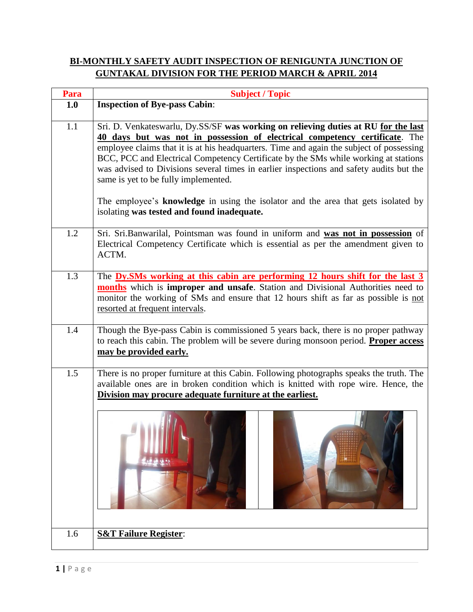### **BI-MONTHLY SAFETY AUDIT INSPECTION OF RENIGUNTA JUNCTION OF GUNTAKAL DIVISION FOR THE PERIOD MARCH & APRIL 2014**

| Para | <b>Subject / Topic</b>                                                                                                                                                                                                                                                                                                                                                                                                                                                                                                                                                       |
|------|------------------------------------------------------------------------------------------------------------------------------------------------------------------------------------------------------------------------------------------------------------------------------------------------------------------------------------------------------------------------------------------------------------------------------------------------------------------------------------------------------------------------------------------------------------------------------|
| 1.0  | <b>Inspection of Bye-pass Cabin:</b>                                                                                                                                                                                                                                                                                                                                                                                                                                                                                                                                         |
| 1.1  | Sri. D. Venkateswarlu, Dy.SS/SF was working on relieving duties at RU for the last<br>40 days but was not in possession of electrical competency certificate. The<br>employee claims that it is at his headquarters. Time and again the subject of possessing<br>BCC, PCC and Electrical Competency Certificate by the SMs while working at stations<br>was advised to Divisions several times in earlier inspections and safety audits but the<br>same is yet to be fully implemented.<br>The employee's knowledge in using the isolator and the area that gets isolated by |
|      | isolating was tested and found inadequate.                                                                                                                                                                                                                                                                                                                                                                                                                                                                                                                                   |
| 1.2  | Sri. Sri.Banwarilal, Pointsman was found in uniform and was not in possession of<br>Electrical Competency Certificate which is essential as per the amendment given to<br>ACTM.                                                                                                                                                                                                                                                                                                                                                                                              |
| 1.3  | The <b>Dy.SMs</b> working at this cabin are performing 12 hours shift for the last 3<br>months which is improper and unsafe. Station and Divisional Authorities need to<br>monitor the working of SMs and ensure that 12 hours shift as far as possible is not<br>resorted at frequent intervals.                                                                                                                                                                                                                                                                            |
| 1.4  | Though the Bye-pass Cabin is commissioned 5 years back, there is no proper pathway<br>to reach this cabin. The problem will be severe during monsoon period. Proper access<br>may be provided early.                                                                                                                                                                                                                                                                                                                                                                         |
| 1.5  | There is no proper furniture at this Cabin. Following photographs speaks the truth. The<br>available ones are in broken condition which is knitted with rope wire. Hence, the<br>Division may procure adequate furniture at the earliest.                                                                                                                                                                                                                                                                                                                                    |
| 1.6  | <b>S&amp;T Failure Register:</b>                                                                                                                                                                                                                                                                                                                                                                                                                                                                                                                                             |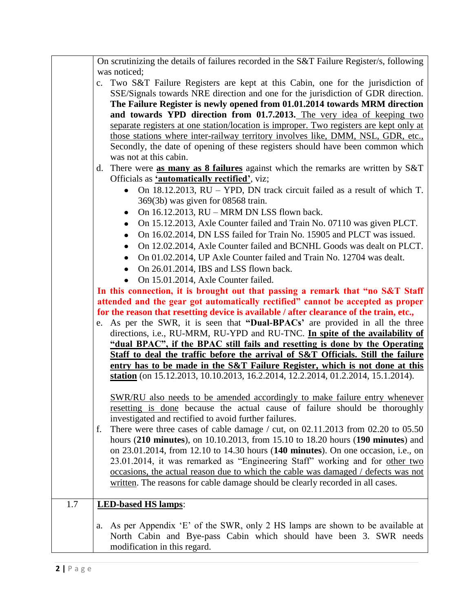|     | On scrutinizing the details of failures recorded in the S&T Failure Register/s, following                 |
|-----|-----------------------------------------------------------------------------------------------------------|
|     | was noticed;                                                                                              |
|     | c. Two S&T Failure Registers are kept at this Cabin, one for the jurisdiction of                          |
|     | SSE/Signals towards NRE direction and one for the jurisdiction of GDR direction.                          |
|     | The Failure Register is newly opened from 01.01.2014 towards MRM direction                                |
|     | and towards YPD direction from 01.7.2013. The very idea of keeping two                                    |
|     | separate registers at one station/location is improper. Two registers are kept only at                    |
|     | those stations where inter-railway territory involves like, DMM, NSL, GDR, etc.,                          |
|     | Secondly, the date of opening of these registers should have been common which                            |
|     | was not at this cabin.                                                                                    |
|     | d. There were as many as $8$ failures against which the remarks are written by $S&T$                      |
|     | Officials as <b>'automatically rectified'</b> , viz;                                                      |
|     | On 18.12.2013, RU – YPD, DN track circuit failed as a result of which T.                                  |
|     | $369(3b)$ was given for 08568 train.                                                                      |
|     | On 16.12.2013, RU - MRM DN LSS flown back.                                                                |
|     | On 15.12.2013, Axle Counter failed and Train No. 07110 was given PLCT.                                    |
|     | On 16.02.2014, DN LSS failed for Train No. 15905 and PLCT was issued.                                     |
|     | On 12.02.2014, Axle Counter failed and BCNHL Goods was dealt on PLCT.                                     |
|     | On 01.02.2014, UP Axle Counter failed and Train No. 12704 was dealt.                                      |
|     | On 26.01.2014, IBS and LSS flown back.                                                                    |
|     | • On 15.01.2014, Axle Counter failed.                                                                     |
|     | In this connection, it is brought out that passing a remark that "no S&T Staff"                           |
|     | attended and the gear got automatically rectified" cannot be accepted as proper                           |
|     | for the reason that resetting device is available / after clearance of the train, etc.,                   |
|     | e. As per the SWR, it is seen that "Dual-BPACs' are provided in all the three                             |
|     | directions, i.e., RU-MRM, RU-YPD and RU-TNC. In spite of the availability of                              |
|     | "dual BPAC", if the BPAC still fails and resetting is done by the Operating                               |
|     | Staff to deal the traffic before the arrival of S&T Officials. Still the failure                          |
|     | entry has to be made in the S&T Failure Register, which is not done at this                               |
|     | <b>station</b> (on $15.12.2013$ , $10.10.2013$ , $16.2.2014$ , $12.2.2014$ , $01.2.2014$ , $15.1.2014$ ). |
|     |                                                                                                           |
|     | SWR/RU also needs to be amended accordingly to make failure entry whenever                                |
|     | resetting is done because the actual cause of failure should be thoroughly                                |
|     | investigated and rectified to avoid further failures.                                                     |
|     | There were three cases of cable damage / cut, on $02.11.2013$ from $02.20$ to $05.50$<br>f.               |
|     | hours (210 minutes), on 10.10.2013, from 15.10 to 18.20 hours (190 minutes) and                           |
|     | on 23.01.2014, from 12.10 to 14.30 hours (140 minutes). On one occasion, i.e., on                         |
|     | 23.01.2014, it was remarked as "Engineering Staff" working and for other two                              |
|     | occasions, the actual reason due to which the cable was damaged / defects was not                         |
|     | written. The reasons for cable damage should be clearly recorded in all cases.                            |
|     |                                                                                                           |
| 1.7 | <b>LED-based HS lamps:</b>                                                                                |
|     |                                                                                                           |
|     | a. As per Appendix 'E' of the SWR, only 2 HS lamps are shown to be available at                           |
|     | North Cabin and Bye-pass Cabin which should have been 3. SWR needs                                        |
|     | modification in this regard.                                                                              |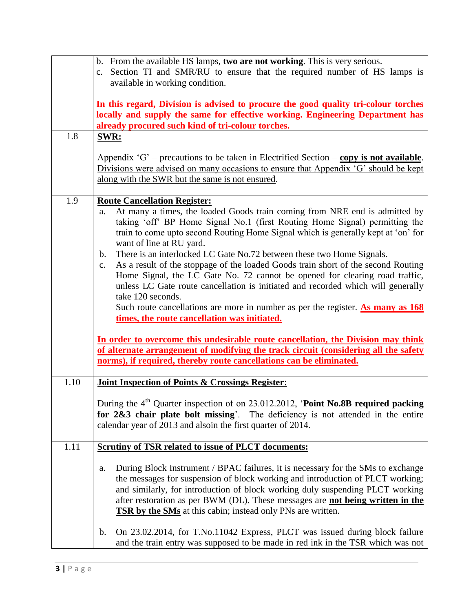|      | b. From the available HS lamps, two are not working. This is very serious.<br>c. Section TI and SMR/RU to ensure that the required number of HS lamps is<br>available in working condition.                                                                                                                                                                                                                                                                                                                                                                                                                                                                                                                                                                                                                                                                                                                                                                                                                                                                                                          |
|------|------------------------------------------------------------------------------------------------------------------------------------------------------------------------------------------------------------------------------------------------------------------------------------------------------------------------------------------------------------------------------------------------------------------------------------------------------------------------------------------------------------------------------------------------------------------------------------------------------------------------------------------------------------------------------------------------------------------------------------------------------------------------------------------------------------------------------------------------------------------------------------------------------------------------------------------------------------------------------------------------------------------------------------------------------------------------------------------------------|
| 1.8  | In this regard, Division is advised to procure the good quality tri-colour torches<br>locally and supply the same for effective working. Engineering Department has<br>already procured such kind of tri-colour torches.<br><b>SWR:</b>                                                                                                                                                                                                                                                                                                                                                                                                                                                                                                                                                                                                                                                                                                                                                                                                                                                              |
|      | Appendix 'G' – precautions to be taken in Electrified Section – copy is not available.<br>Divisions were advised on many occasions to ensure that Appendix 'G' should be kept<br>along with the SWR but the same is not ensured.                                                                                                                                                                                                                                                                                                                                                                                                                                                                                                                                                                                                                                                                                                                                                                                                                                                                     |
| 1.9  | <b>Route Cancellation Register:</b><br>At many a times, the loaded Goods train coming from NRE end is admitted by<br>a.<br>taking 'off' BP Home Signal No.1 (first Routing Home Signal) permitting the<br>train to come upto second Routing Home Signal which is generally kept at 'on' for<br>want of line at RU yard.<br>There is an interlocked LC Gate No.72 between these two Home Signals.<br>b.<br>As a result of the stoppage of the loaded Goods train short of the second Routing<br>$\mathbf{c}$ .<br>Home Signal, the LC Gate No. 72 cannot be opened for clearing road traffic,<br>unless LC Gate route cancellation is initiated and recorded which will generally<br>take 120 seconds.<br>Such route cancellations are more in number as per the register. $\Delta s$ many as $168$<br>times, the route cancellation was initiated.<br>In order to overcome this undesirable route cancellation, the Division may think<br>of alternate arrangement of modifying the track circuit (considering all the safety<br>norms), if required, thereby route cancellations can be eliminated. |
| 1.10 | <b>Joint Inspection of Points &amp; Crossings Register:</b>                                                                                                                                                                                                                                                                                                                                                                                                                                                                                                                                                                                                                                                                                                                                                                                                                                                                                                                                                                                                                                          |
|      | During the 4 <sup>th</sup> Quarter inspection of on 23.012.2012, 'Point No.8B required packing<br>for 2&3 chair plate bolt missing'. The deficiency is not attended in the entire<br>calendar year of 2013 and alsoin the first quarter of 2014.                                                                                                                                                                                                                                                                                                                                                                                                                                                                                                                                                                                                                                                                                                                                                                                                                                                     |
| 1.11 | <b>Scrutiny of TSR related to issue of PLCT documents:</b>                                                                                                                                                                                                                                                                                                                                                                                                                                                                                                                                                                                                                                                                                                                                                                                                                                                                                                                                                                                                                                           |
|      | During Block Instrument / BPAC failures, it is necessary for the SMs to exchange<br>a.<br>the messages for suspension of block working and introduction of PLCT working;<br>and similarly, for introduction of block working duly suspending PLCT working<br>after restoration as per BWM (DL). These messages are not being written in the<br><b>TSR by the SMs</b> at this cabin; instead only PNs are written.                                                                                                                                                                                                                                                                                                                                                                                                                                                                                                                                                                                                                                                                                    |
|      | On 23.02.2014, for T.No.11042 Express, PLCT was issued during block failure<br>$\mathbf b$ .<br>and the train entry was supposed to be made in red ink in the TSR which was not                                                                                                                                                                                                                                                                                                                                                                                                                                                                                                                                                                                                                                                                                                                                                                                                                                                                                                                      |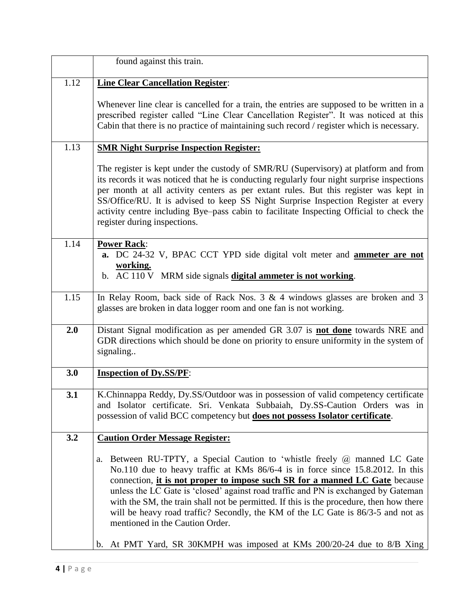|      | found against this train.                                                                                                                                                                                                                                                                                                                                                                                                                                                                                                                                                                                                              |
|------|----------------------------------------------------------------------------------------------------------------------------------------------------------------------------------------------------------------------------------------------------------------------------------------------------------------------------------------------------------------------------------------------------------------------------------------------------------------------------------------------------------------------------------------------------------------------------------------------------------------------------------------|
| 1.12 | <b>Line Clear Cancellation Register:</b>                                                                                                                                                                                                                                                                                                                                                                                                                                                                                                                                                                                               |
|      | Whenever line clear is cancelled for a train, the entries are supposed to be written in a<br>prescribed register called "Line Clear Cancellation Register". It was noticed at this<br>Cabin that there is no practice of maintaining such record / register which is necessary.                                                                                                                                                                                                                                                                                                                                                        |
| 1.13 | <b>SMR Night Surprise Inspection Register:</b>                                                                                                                                                                                                                                                                                                                                                                                                                                                                                                                                                                                         |
|      | The register is kept under the custody of SMR/RU (Supervisory) at platform and from<br>its records it was noticed that he is conducting regularly four night surprise inspections<br>per month at all activity centers as per extant rules. But this register was kept in<br>SS/Office/RU. It is advised to keep SS Night Surprise Inspection Register at every<br>activity centre including Bye-pass cabin to facilitate Inspecting Official to check the<br>register during inspections.                                                                                                                                             |
| 1.14 | <b>Power Rack:</b><br>a. DC 24-32 V, BPAC CCT YPD side digital volt meter and <b>ammeter are not</b><br>working.<br>b. AC 110 V MRM side signals digital ammeter is not working.                                                                                                                                                                                                                                                                                                                                                                                                                                                       |
| 1.15 | In Relay Room, back side of Rack Nos. $3 \& 4$ windows glasses are broken and $3$<br>glasses are broken in data logger room and one fan is not working.                                                                                                                                                                                                                                                                                                                                                                                                                                                                                |
| 2.0  | Distant Signal modification as per amended GR 3.07 is not done towards NRE and<br>GDR directions which should be done on priority to ensure uniformity in the system of<br>signaling                                                                                                                                                                                                                                                                                                                                                                                                                                                   |
| 3.0  | <b>Inspection of Dy.SS/PF:</b>                                                                                                                                                                                                                                                                                                                                                                                                                                                                                                                                                                                                         |
| 3.1  | K.Chinnappa Reddy, Dy.SS/Outdoor was in possession of valid competency certificate<br>and Isolator certificate. Sri. Venkata Subbaiah, Dy.SS-Caution Orders was in<br>possession of valid BCC competency but <b>does not possess Isolator certificate</b> .                                                                                                                                                                                                                                                                                                                                                                            |
| 3.2  | <b>Caution Order Message Register:</b>                                                                                                                                                                                                                                                                                                                                                                                                                                                                                                                                                                                                 |
|      | Between RU-TPTY, a Special Caution to 'whistle freely $\omega$ manned LC Gate<br>a.<br>No.110 due to heavy traffic at KMs 86/6-4 is in force since 15.8.2012. In this<br>connection, it is not proper to impose such SR for a manned LC Gate because<br>unless the LC Gate is 'closed' against road traffic and PN is exchanged by Gateman<br>with the SM, the train shall not be permitted. If this is the procedure, then how there<br>will be heavy road traffic? Secondly, the KM of the LC Gate is 86/3-5 and not as<br>mentioned in the Caution Order.<br>b. At PMT Yard, SR 30KMPH was imposed at KMs 200/20-24 due to 8/B Xing |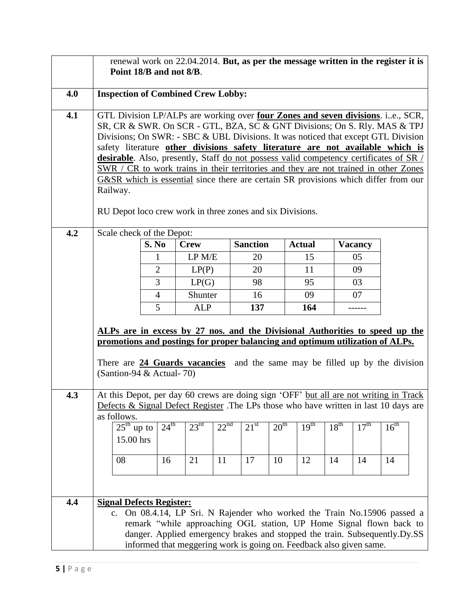|     | renewal work on 22.04.2014. But, as per the message written in the register it is<br>Point 18/B and not 8/B.                                                                                                                                                                                                                                                                                                                                                                                                                                                                                                                                                                                   |                       |                             |                  |                 |                  |                  |                  |                      |                  |
|-----|------------------------------------------------------------------------------------------------------------------------------------------------------------------------------------------------------------------------------------------------------------------------------------------------------------------------------------------------------------------------------------------------------------------------------------------------------------------------------------------------------------------------------------------------------------------------------------------------------------------------------------------------------------------------------------------------|-----------------------|-----------------------------|------------------|-----------------|------------------|------------------|------------------|----------------------|------------------|
| 4.0 | <b>Inspection of Combined Crew Lobby:</b>                                                                                                                                                                                                                                                                                                                                                                                                                                                                                                                                                                                                                                                      |                       |                             |                  |                 |                  |                  |                  |                      |                  |
| 4.1 | GTL Division LP/ALPs are working over four Zones and seven divisions. i.e., SCR,<br>SR, CR & SWR. On SCR - GTL, BZA, SC & GNT Divisions; On S. Rly. MAS & TPJ<br>Divisions; On SWR: - SBC & UBL Divisions. It was noticed that except GTL Division<br>safety literature other divisions safety literature are not available which is<br><b>desirable</b> . Also, presently, Staff do not possess valid competency certificates of SR /<br>SWR / CR to work trains in their territories and they are not trained in other Zones<br>G&SR which is essential since there are certain SR provisions which differ from our<br>Railway.<br>RU Depot loco crew work in three zones and six Divisions. |                       |                             |                  |                 |                  |                  |                  |                      |                  |
| 4.2 | Scale check of the Depot:                                                                                                                                                                                                                                                                                                                                                                                                                                                                                                                                                                                                                                                                      |                       |                             |                  | <b>Sanction</b> |                  | <b>Actual</b>    |                  |                      |                  |
|     |                                                                                                                                                                                                                                                                                                                                                                                                                                                                                                                                                                                                                                                                                                | S. No<br>$\mathbf{1}$ | <b>Crew</b><br>LP M/E       |                  | 20              |                  | 15               |                  | <b>Vacancy</b><br>05 |                  |
|     |                                                                                                                                                                                                                                                                                                                                                                                                                                                                                                                                                                                                                                                                                                | $\overline{2}$        | LP(P)                       |                  | 20              |                  | 11               |                  | 09                   |                  |
|     |                                                                                                                                                                                                                                                                                                                                                                                                                                                                                                                                                                                                                                                                                                | 3                     | LP(G)                       |                  | 98              |                  | 95               |                  | 03                   |                  |
|     |                                                                                                                                                                                                                                                                                                                                                                                                                                                                                                                                                                                                                                                                                                | $\overline{4}$        | Shunter                     |                  | 16              |                  | 09               |                  | 07                   |                  |
|     |                                                                                                                                                                                                                                                                                                                                                                                                                                                                                                                                                                                                                                                                                                | 5                     | <b>ALP</b>                  |                  | 137             |                  | 164              |                  |                      |                  |
|     | ALPs are in excess by 27 nos. and the Divisional Authorities to speed up the<br>promotions and postings for proper balancing and optimum utilization of ALPs.<br>There are <b>24 Guards vacancies</b> and the same may be filled up by the division<br>(Santion-94 & Actual-70)                                                                                                                                                                                                                                                                                                                                                                                                                |                       |                             |                  |                 |                  |                  |                  |                      |                  |
| 4.3 | At this Depot, per day 60 crews are doing sign 'OFF' but all are not writing in Track<br>Defects & Signal Defect Register .The LPs those who have written in last 10 days are                                                                                                                                                                                                                                                                                                                                                                                                                                                                                                                  |                       |                             |                  |                 |                  |                  |                  |                      |                  |
|     | as follows.                                                                                                                                                                                                                                                                                                                                                                                                                                                                                                                                                                                                                                                                                    |                       |                             |                  |                 |                  |                  |                  |                      |                  |
|     | $25^{\text{th}}$ up to                                                                                                                                                                                                                                                                                                                                                                                                                                                                                                                                                                                                                                                                         | $24^{\text{th}}$      | $23^{\overline{\text{rd}}}$ | 22 <sup>nd</sup> | $21^{st}$       | 20 <sup>th</sup> | 19 <sup>th</sup> | 18 <sup>th</sup> | 17 <sup>th</sup>     | 16 <sup>th</sup> |
|     | 15.00 hrs                                                                                                                                                                                                                                                                                                                                                                                                                                                                                                                                                                                                                                                                                      |                       |                             |                  |                 |                  |                  |                  |                      |                  |
|     | 08                                                                                                                                                                                                                                                                                                                                                                                                                                                                                                                                                                                                                                                                                             | 16                    | 21                          | 11               | 17              | 10               | 12               | 14               | 14                   | 14               |
|     |                                                                                                                                                                                                                                                                                                                                                                                                                                                                                                                                                                                                                                                                                                |                       |                             |                  |                 |                  |                  |                  |                      |                  |
|     |                                                                                                                                                                                                                                                                                                                                                                                                                                                                                                                                                                                                                                                                                                |                       |                             |                  |                 |                  |                  |                  |                      |                  |
| 4.4 | <b>Signal Defects Register:</b><br>On 08.4.14, LP Sri. N Rajender who worked the Train No.15906 passed a<br>c.<br>remark "while approaching OGL station, UP Home Signal flown back to<br>danger. Applied emergency brakes and stopped the train. Subsequently.Dy.SS<br>informed that meggering work is going on. Feedback also given same.                                                                                                                                                                                                                                                                                                                                                     |                       |                             |                  |                 |                  |                  |                  |                      |                  |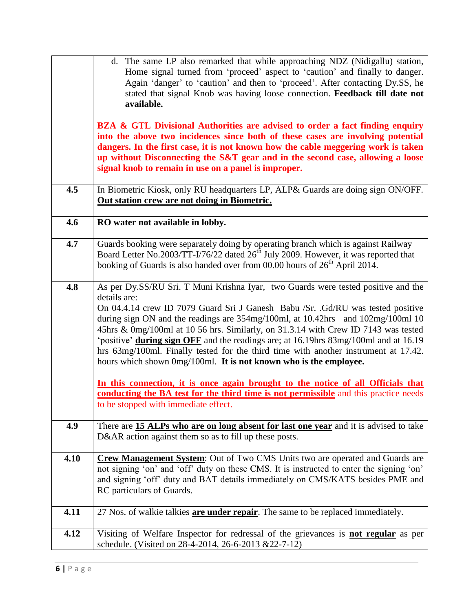|      | d. The same LP also remarked that while approaching NDZ (Nidigallu) station,                                                                                          |
|------|-----------------------------------------------------------------------------------------------------------------------------------------------------------------------|
|      | Home signal turned from 'proceed' aspect to 'caution' and finally to danger.<br>Again 'danger' to 'caution' and then to 'proceed'. After contacting Dy.SS, he         |
|      | stated that signal Knob was having loose connection. Feedback till date not                                                                                           |
|      | available.                                                                                                                                                            |
|      |                                                                                                                                                                       |
|      | BZA & GTL Divisional Authorities are advised to order a fact finding enquiry<br>into the above two incidences since both of these cases are involving potential       |
|      | dangers. In the first case, it is not known how the cable meggering work is taken                                                                                     |
|      | up without Disconnecting the S&T gear and in the second case, allowing a loose                                                                                        |
|      | signal knob to remain in use on a panel is improper.                                                                                                                  |
|      |                                                                                                                                                                       |
| 4.5  | In Biometric Kiosk, only RU headquarters LP, ALP& Guards are doing sign ON/OFF.<br>Out station crew are not doing in Biometric.                                       |
|      |                                                                                                                                                                       |
| 4.6  | RO water not available in lobby.                                                                                                                                      |
| 4.7  | Guards booking were separately doing by operating branch which is against Railway                                                                                     |
|      | Board Letter No.2003/TT-I/76/22 dated 26 <sup>th</sup> July 2009. However, it was reported that                                                                       |
|      | booking of Guards is also handed over from 00.00 hours of 26 <sup>th</sup> April 2014.                                                                                |
|      |                                                                                                                                                                       |
| 4.8  | As per Dy.SS/RU Sri. T Muni Krishna Iyar, two Guards were tested positive and the                                                                                     |
|      | details are:                                                                                                                                                          |
|      | On 04.4.14 crew ID 7079 Guard Sri J Ganesh Babu / Sr. . Gd/RU was tested positive                                                                                     |
|      | during sign ON and the readings are 354mg/100ml, at 10.42hrs and 102mg/100ml 10<br>45hrs & 0mg/100ml at 10 56 hrs. Similarly, on 31.3.14 with Crew ID 7143 was tested |
|      | 'positive' during sign OFF and the readings are; at 16.19hrs 83mg/100ml and at 16.19                                                                                  |
|      | hrs 63mg/100ml. Finally tested for the third time with another instrument at 17.42.                                                                                   |
|      | hours which shown 0mg/100ml. It is not known who is the employee.                                                                                                     |
|      |                                                                                                                                                                       |
|      | In this connection, it is once again brought to the notice of all Officials that                                                                                      |
|      | conducting the BA test for the third time is not permissible and this practice needs                                                                                  |
|      | to be stopped with immediate effect.                                                                                                                                  |
| 4.9  | There are 15 ALPs who are on long absent for last one year and it is advised to take                                                                                  |
|      | D&AR action against them so as to fill up these posts.                                                                                                                |
|      |                                                                                                                                                                       |
| 4.10 | Crew Management System: Out of Two CMS Units two are operated and Guards are                                                                                          |
|      | not signing 'on' and 'off' duty on these CMS. It is instructed to enter the signing 'on'                                                                              |
|      | and signing 'off' duty and BAT details immediately on CMS/KATS besides PME and                                                                                        |
|      | RC particulars of Guards.                                                                                                                                             |
| 4.11 | 27 Nos. of walkie talkies are under repair. The same to be replaced immediately.                                                                                      |
|      |                                                                                                                                                                       |
| 4.12 | Visiting of Welfare Inspector for redressal of the grievances is <b>not regular</b> as per                                                                            |
|      | schedule. (Visited on 28-4-2014, 26-6-2013 & 22-7-12)                                                                                                                 |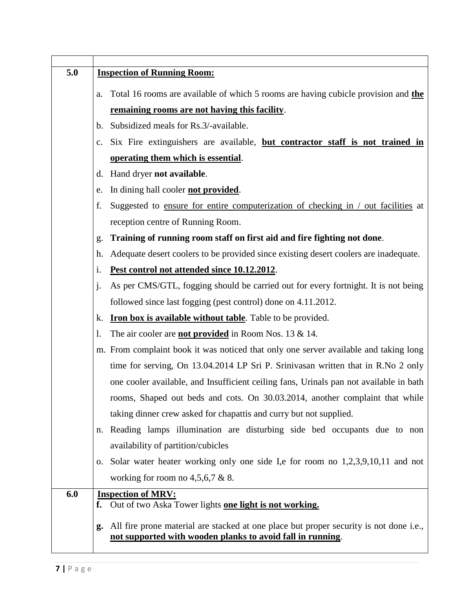| 5.0 | <b>Inspection of Running Room:</b>                                                            |
|-----|-----------------------------------------------------------------------------------------------|
|     |                                                                                               |
|     | Total 16 rooms are available of which 5 rooms are having cubicle provision and the<br>a.      |
|     | remaining rooms are not having this facility.                                                 |
|     | b. Subsidized meals for Rs.3/-available.                                                      |
|     | c. Six Fire extinguishers are available, but contractor staff is not trained in               |
|     | operating them which is essential.                                                            |
|     | Hand dryer not available.<br>d.                                                               |
|     | In dining hall cooler <b>not provided</b> .<br>e.                                             |
|     | Suggested to ensure for entire computerization of checking in / out facilities at<br>f.       |
|     | reception centre of Running Room.                                                             |
|     | Training of running room staff on first aid and fire fighting not done.<br>g.                 |
|     | Adequate desert coolers to be provided since existing desert coolers are inadequate.<br>h.    |
|     | Pest control not attended since 10.12.2012.<br>1.                                             |
|     | As per CMS/GTL, fogging should be carried out for every fortnight. It is not being<br>$\cdot$ |
|     | followed since last fogging (pest control) done on 4.11.2012.                                 |
|     | <b>Iron box is available without table</b> . Table to be provided.<br>k.                      |
|     | The air cooler are <b>not provided</b> in Room Nos. 13 & 14.<br>1.                            |
|     | m. From complaint book it was noticed that only one server available and taking long          |
|     | time for serving, On 13.04.2014 LP Sri P. Srinivasan written that in R.No 2 only              |
|     | one cooler available, and Insufficient ceiling fans, Urinals pan not available in bath        |
|     | rooms, Shaped out beds and cots. On 30.03.2014, another complaint that while                  |
|     | taking dinner crew asked for chapattis and curry but not supplied.                            |
|     | Reading lamps illumination are disturbing side bed occupants due to non<br>n.                 |
|     | availability of partition/cubicles                                                            |
|     | o. Solar water heater working only one side I,e for room no 1,2,3,9,10,11 and not             |
|     | working for room no $4,5,6,7 \& 8$ .                                                          |
| 6.0 | <b>Inspection of MRV:</b>                                                                     |
|     | Out of two Aska Tower lights one light is not working.<br>f.                                  |
|     | All fire prone material are stacked at one place but proper security is not done i.e.,<br>g.  |
|     | not supported with wooden planks to avoid fall in running.                                    |
|     |                                                                                               |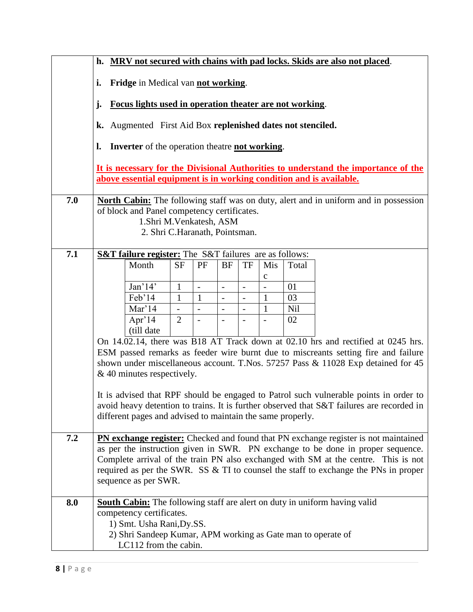|     | MRV not secured with chains with pad locks. Skids are also not placed.<br>h.                                                                              |                                                                                       |                          |               |                          |                          |                               |       |                                                                                                                                                                        |
|-----|-----------------------------------------------------------------------------------------------------------------------------------------------------------|---------------------------------------------------------------------------------------|--------------------------|---------------|--------------------------|--------------------------|-------------------------------|-------|------------------------------------------------------------------------------------------------------------------------------------------------------------------------|
|     | Fridge in Medical van not working.<br>i.                                                                                                                  |                                                                                       |                          |               |                          |                          |                               |       |                                                                                                                                                                        |
|     | Focus lights used in operation theater are not working.<br>j.                                                                                             |                                                                                       |                          |               |                          |                          |                               |       |                                                                                                                                                                        |
|     | k. Augmented First Aid Box replenished dates not stenciled.                                                                                               |                                                                                       |                          |               |                          |                          |                               |       |                                                                                                                                                                        |
|     | <b>Inverter</b> of the operation theatre <b>not working</b> .<br>l.                                                                                       |                                                                                       |                          |               |                          |                          |                               |       |                                                                                                                                                                        |
|     | It is necessary for the Divisional Authorities to understand the importance of the<br>above essential equipment is in working condition and is available. |                                                                                       |                          |               |                          |                          |                               |       |                                                                                                                                                                        |
| 7.0 |                                                                                                                                                           |                                                                                       |                          |               |                          |                          |                               |       | North Cabin: The following staff was on duty, alert and in uniform and in possession                                                                                   |
|     |                                                                                                                                                           | of block and Panel competency certificates.<br>1.Shri M.Venkatesh, ASM                |                          |               |                          |                          |                               |       |                                                                                                                                                                        |
|     |                                                                                                                                                           | 2. Shri C.Haranath, Pointsman.                                                        |                          |               |                          |                          |                               |       |                                                                                                                                                                        |
|     |                                                                                                                                                           |                                                                                       |                          |               |                          |                          |                               |       |                                                                                                                                                                        |
| 7.1 |                                                                                                                                                           | <b>S&amp;T failure register:</b> The S&T failures are as follows:                     |                          |               |                          |                          |                               |       |                                                                                                                                                                        |
|     |                                                                                                                                                           | Month                                                                                 | <b>SF</b>                | PF            | <b>BF</b>                | <b>TF</b>                | Mis                           | Total |                                                                                                                                                                        |
|     |                                                                                                                                                           | Jan <sup>14</sup>                                                                     | $\mathbf{1}$             | $\frac{1}{2}$ | $\overline{\phantom{a}}$ | $\overline{\phantom{a}}$ | $\mathbf C$<br>$\overline{a}$ | 01    |                                                                                                                                                                        |
|     |                                                                                                                                                           | Feb'14                                                                                | $\mathbf{1}$             | $\mathbf{1}$  | $\overline{a}$           | $\overline{a}$           | 1                             | 03    |                                                                                                                                                                        |
|     |                                                                                                                                                           | Mar'14                                                                                | $\overline{\phantom{a}}$ |               | $\overline{\phantom{a}}$ | $\overline{\phantom{0}}$ | $\mathbf{1}$                  | Nil   |                                                                                                                                                                        |
|     |                                                                                                                                                           | Apr' $14$                                                                             | $\overline{2}$           |               |                          |                          |                               | 02    |                                                                                                                                                                        |
|     |                                                                                                                                                           | (till date                                                                            |                          |               |                          |                          |                               |       |                                                                                                                                                                        |
|     |                                                                                                                                                           |                                                                                       |                          |               |                          |                          |                               |       | On 14.02.14, there was B18 AT Track down at 02.10 hrs and rectified at 0245 hrs.                                                                                       |
|     |                                                                                                                                                           |                                                                                       |                          |               |                          |                          |                               |       | ESM passed remarks as feeder wire burnt due to miscreants setting fire and failure<br>shown under miscellaneous account. T.Nos. 57257 Pass & 11028 Exp detained for 45 |
|     |                                                                                                                                                           | $&$ 40 minutes respectively.                                                          |                          |               |                          |                          |                               |       |                                                                                                                                                                        |
|     |                                                                                                                                                           |                                                                                       |                          |               |                          |                          |                               |       |                                                                                                                                                                        |
|     |                                                                                                                                                           |                                                                                       |                          |               |                          |                          |                               |       | It is advised that RPF should be engaged to Patrol such vulnerable points in order to                                                                                  |
|     |                                                                                                                                                           |                                                                                       |                          |               |                          |                          |                               |       | avoid heavy detention to trains. It is further observed that S&T failures are recorded in                                                                              |
|     |                                                                                                                                                           | different pages and advised to maintain the same properly.                            |                          |               |                          |                          |                               |       |                                                                                                                                                                        |
| 7.2 |                                                                                                                                                           |                                                                                       |                          |               |                          |                          |                               |       | PN exchange register: Checked and found that PN exchange register is not maintained                                                                                    |
|     |                                                                                                                                                           |                                                                                       |                          |               |                          |                          |                               |       | as per the instruction given in SWR. PN exchange to be done in proper sequence.                                                                                        |
|     |                                                                                                                                                           |                                                                                       |                          |               |                          |                          |                               |       | Complete arrival of the train PN also exchanged with SM at the centre. This is not                                                                                     |
|     |                                                                                                                                                           | sequence as per SWR.                                                                  |                          |               |                          |                          |                               |       | required as per the SWR. SS & TI to counsel the staff to exchange the PNs in proper                                                                                    |
|     |                                                                                                                                                           |                                                                                       |                          |               |                          |                          |                               |       |                                                                                                                                                                        |
| 8.0 |                                                                                                                                                           |                                                                                       |                          |               |                          |                          |                               |       | <b>South Cabin:</b> The following staff are alert on duty in uniform having valid                                                                                      |
|     |                                                                                                                                                           | competency certificates.                                                              |                          |               |                          |                          |                               |       |                                                                                                                                                                        |
|     |                                                                                                                                                           | 1) Smt. Usha Rani, Dy.SS.                                                             |                          |               |                          |                          |                               |       |                                                                                                                                                                        |
|     |                                                                                                                                                           | 2) Shri Sandeep Kumar, APM working as Gate man to operate of<br>LC112 from the cabin. |                          |               |                          |                          |                               |       |                                                                                                                                                                        |
|     |                                                                                                                                                           |                                                                                       |                          |               |                          |                          |                               |       |                                                                                                                                                                        |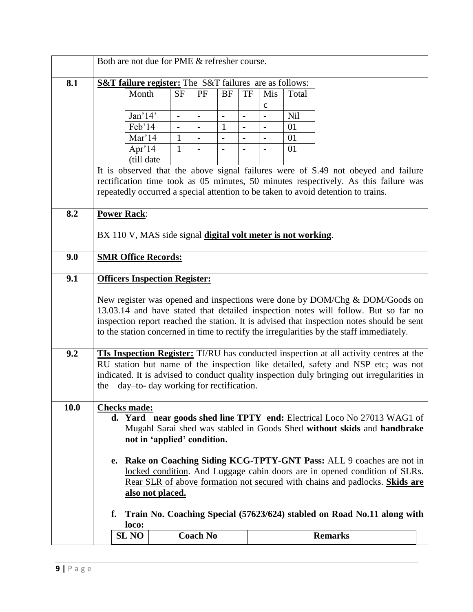|      | Both are not due for PME & refresher course.                                                                                                                                                                                                                                                                                     |                          |                 |                |                          |                          |       |                                                                                                                                                                                                                                                                                                                                                            |
|------|----------------------------------------------------------------------------------------------------------------------------------------------------------------------------------------------------------------------------------------------------------------------------------------------------------------------------------|--------------------------|-----------------|----------------|--------------------------|--------------------------|-------|------------------------------------------------------------------------------------------------------------------------------------------------------------------------------------------------------------------------------------------------------------------------------------------------------------------------------------------------------------|
| 8.1  | <b>S&amp;T failure register:</b> The S&T failures are as follows:                                                                                                                                                                                                                                                                |                          |                 |                |                          |                          |       |                                                                                                                                                                                                                                                                                                                                                            |
|      | Month                                                                                                                                                                                                                                                                                                                            | <b>SF</b>                | PF              | <b>BF</b>      | TF                       | Mis                      | Total |                                                                                                                                                                                                                                                                                                                                                            |
|      |                                                                                                                                                                                                                                                                                                                                  |                          |                 |                |                          | $\mathbf c$              |       |                                                                                                                                                                                                                                                                                                                                                            |
|      | Jan'14'                                                                                                                                                                                                                                                                                                                          | $\overline{\phantom{0}}$ |                 | $\overline{a}$ | $\overline{a}$           |                          | Nil   |                                                                                                                                                                                                                                                                                                                                                            |
|      | Feb'14                                                                                                                                                                                                                                                                                                                           |                          |                 | $\mathbf{1}$   | $\overline{\phantom{0}}$ |                          | 01    |                                                                                                                                                                                                                                                                                                                                                            |
|      | Mar'14                                                                                                                                                                                                                                                                                                                           | $\mathbf{1}$             |                 |                | $\overline{a}$           |                          | 01    |                                                                                                                                                                                                                                                                                                                                                            |
|      | Apr'14                                                                                                                                                                                                                                                                                                                           | $\mathbf{1}$             |                 | $\overline{a}$ | $\overline{\phantom{a}}$ | $\overline{\phantom{a}}$ | 01    |                                                                                                                                                                                                                                                                                                                                                            |
|      | (till date                                                                                                                                                                                                                                                                                                                       |                          |                 |                |                          |                          |       |                                                                                                                                                                                                                                                                                                                                                            |
|      |                                                                                                                                                                                                                                                                                                                                  |                          |                 |                |                          |                          |       | It is observed that the above signal failures were of S.49 not obeyed and failure<br>rectification time took as 05 minutes, 50 minutes respectively. As this failure was<br>repeatedly occurred a special attention to be taken to avoid detention to trains.                                                                                              |
| 8.2  | <b>Power Rack:</b>                                                                                                                                                                                                                                                                                                               |                          |                 |                |                          |                          |       |                                                                                                                                                                                                                                                                                                                                                            |
|      | BX 110 V, MAS side signal digital volt meter is not working.                                                                                                                                                                                                                                                                     |                          |                 |                |                          |                          |       |                                                                                                                                                                                                                                                                                                                                                            |
| 9.0  | <b>SMR Office Records:</b>                                                                                                                                                                                                                                                                                                       |                          |                 |                |                          |                          |       |                                                                                                                                                                                                                                                                                                                                                            |
| 9.1  | <b>Officers Inspection Register:</b>                                                                                                                                                                                                                                                                                             |                          |                 |                |                          |                          |       |                                                                                                                                                                                                                                                                                                                                                            |
|      |                                                                                                                                                                                                                                                                                                                                  |                          |                 |                |                          |                          |       | New register was opened and inspections were done by DOM/Chg & DOM/Goods on<br>13.03.14 and have stated that detailed inspection notes will follow. But so far no<br>inspection report reached the station. It is advised that inspection notes should be sent<br>to the station concerned in time to rectify the irregularities by the staff immediately. |
| 9.2  | <b>TIs Inspection Register:</b> TI/RU has conducted inspection at all activity centres at the<br>RU station but name of the inspection like detailed, safety and NSP etc; was not<br>indicated. It is advised to conduct quality inspection duly bringing out irregularities in<br>day-to- day working for rectification.<br>the |                          |                 |                |                          |                          |       |                                                                                                                                                                                                                                                                                                                                                            |
| 10.0 | <b>Checks made:</b><br>d. Yard near goods shed line TPTY end: Electrical Loco No 27013 WAG1 of<br>Mugahl Sarai shed was stabled in Goods Shed without skids and handbrake<br>not in 'applied' condition.                                                                                                                         |                          |                 |                |                          |                          |       |                                                                                                                                                                                                                                                                                                                                                            |
|      | Rake on Coaching Siding KCG-TPTY-GNT Pass: ALL 9 coaches are not in<br>e.<br>locked condition. And Luggage cabin doors are in opened condition of SLRs.<br>Rear SLR of above formation not secured with chains and padlocks. Skids are<br>also not placed.                                                                       |                          |                 |                |                          |                          |       |                                                                                                                                                                                                                                                                                                                                                            |
|      | f.<br>loco:                                                                                                                                                                                                                                                                                                                      |                          |                 |                |                          |                          |       | Train No. Coaching Special (57623/624) stabled on Road No.11 along with                                                                                                                                                                                                                                                                                    |
|      | <b>SL NO</b>                                                                                                                                                                                                                                                                                                                     |                          | <b>Coach No</b> |                |                          |                          |       | <b>Remarks</b>                                                                                                                                                                                                                                                                                                                                             |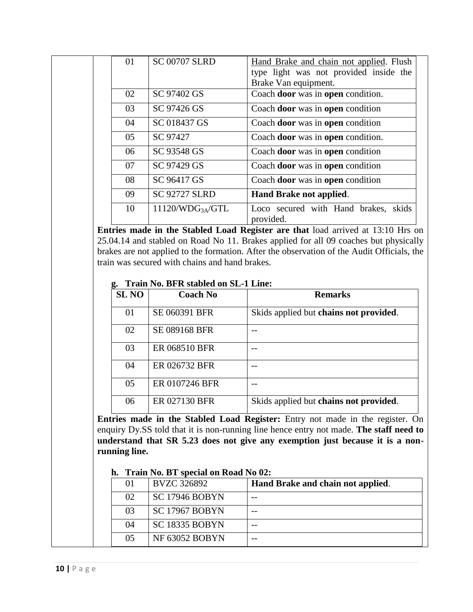| 01 | <b>SC 00707 SLRD</b>         | Hand Brake and chain not applied. Flush           |
|----|------------------------------|---------------------------------------------------|
|    |                              | type light was not provided inside the            |
|    |                              | Brake Van equipment.                              |
| 02 | SC 97402 GS                  | Coach door was in open condition.                 |
| 03 | SC 97426 GS                  | Coach door was in open condition                  |
| 04 | SC 018437 GS                 | Coach door was in open condition                  |
| 05 | SC 97427                     | Coach door was in open condition.                 |
| 06 | SC 93548 GS                  | Coach door was in open condition                  |
| 07 | SC 97429 GS                  | Coach door was in open condition                  |
| 08 | SC 96417 GS                  | Coach door was in open condition                  |
| 09 | <b>SC 92727 SLRD</b>         | Hand Brake not applied.                           |
| 10 | 11120/WDG <sub>3A</sub> /GTL | Loco secured with Hand brakes, skids<br>provided. |

**Entries made in the Stabled Load Register are that** load arrived at 13:10 Hrs on 25.04.14 and stabled on Road No 11. Brakes applied for all 09 coaches but physically brakes are not applied to the formation. After the observation of the Audit Officials, the train was secured with chains and hand brakes.

#### **g. Train No. BFR stabled on SL-1 Line:**

| <b>SL NO</b> | <b>Coach No</b>      | <b>Remarks</b>                         |
|--------------|----------------------|----------------------------------------|
| 01           | SE 060391 BFR        | Skids applied but chains not provided. |
| 02           | <b>SE 089168 BFR</b> |                                        |
| 03           | ER 068510 BFR        |                                        |
| 04           | ER 026732 BFR        |                                        |
| 05           | ER 0107246 BFR       |                                        |
| 06           | ER 027130 BFR        | Skids applied but chains not provided. |

**Entries made in the Stabled Load Register:** Entry not made in the register. On enquiry Dy.SS told that it is non-running line hence entry not made. **The staff need to understand that SR 5.23 does not give any exemption just because it is a nonrunning line.**

### **h. Train No. BT special on Road No 02:**

| $_{01}$ | <b>BVZC 326892</b>    | Hand Brake and chain not applied. |
|---------|-----------------------|-----------------------------------|
| 02      | <b>SC 17946 BOBYN</b> |                                   |
| 03      | <b>SC 17967 BOBYN</b> |                                   |
| 04      | <b>SC 18335 BOBYN</b> |                                   |
| 05      | <b>NF 63052 BOBYN</b> |                                   |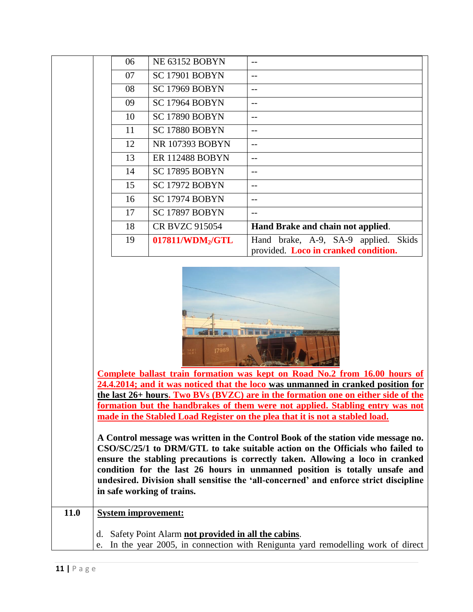|      | 06                                                                                                                                                                                                                                                                                                                                                                                                                                                        | NE 63152 BOBYN               | --                                             |  |  |
|------|-----------------------------------------------------------------------------------------------------------------------------------------------------------------------------------------------------------------------------------------------------------------------------------------------------------------------------------------------------------------------------------------------------------------------------------------------------------|------------------------------|------------------------------------------------|--|--|
|      | 07                                                                                                                                                                                                                                                                                                                                                                                                                                                        | SC 17901 BOBYN               | --                                             |  |  |
|      | SC 17969 BOBYN<br>08                                                                                                                                                                                                                                                                                                                                                                                                                                      |                              | $-$                                            |  |  |
|      | SC 17964 BOBYN<br>09                                                                                                                                                                                                                                                                                                                                                                                                                                      |                              |                                                |  |  |
|      | SC 17890 BOBYN<br>10                                                                                                                                                                                                                                                                                                                                                                                                                                      |                              | $-$                                            |  |  |
|      | 11                                                                                                                                                                                                                                                                                                                                                                                                                                                        | SC 17880 BOBYN               | $-$                                            |  |  |
|      | 12                                                                                                                                                                                                                                                                                                                                                                                                                                                        | NR 107393 BOBYN              | $-$                                            |  |  |
|      | 13                                                                                                                                                                                                                                                                                                                                                                                                                                                        | <b>ER 112488 BOBYN</b>       | $-$                                            |  |  |
|      | 14                                                                                                                                                                                                                                                                                                                                                                                                                                                        | SC 17895 BOBYN               | $-$                                            |  |  |
|      | 15                                                                                                                                                                                                                                                                                                                                                                                                                                                        | SC 17972 BOBYN               | $-$                                            |  |  |
|      | 16                                                                                                                                                                                                                                                                                                                                                                                                                                                        | SC 17974 BOBYN               | $-$                                            |  |  |
|      | 17                                                                                                                                                                                                                                                                                                                                                                                                                                                        | SC 17897 BOBYN               | $-$                                            |  |  |
|      | 18                                                                                                                                                                                                                                                                                                                                                                                                                                                        | <b>CR BVZC 915054</b>        | Hand Brake and chain not applied.              |  |  |
|      | 19                                                                                                                                                                                                                                                                                                                                                                                                                                                        | 017811/WDM <sub>2</sub> /GTL | Hand brake, A-9, SA-9 applied.<br><b>Skids</b> |  |  |
|      |                                                                                                                                                                                                                                                                                                                                                                                                                                                           |                              | provided. Loco in cranked condition.           |  |  |
|      | 17969<br>经递票<br>Complete ballast train formation was kept on Road No.2 from 16.00 hours of<br>24.4.2014; and it was noticed that the loco was unmanned in cranked position for<br>the last 26+ hours. Two BVs (BVZC) are in the formation one on either side of the<br>formation but the handbrakes of them were not applied. Stabling entry was not<br>made in the Stabled Load Register on the plea that it is not a stabled load.                      |                              |                                                |  |  |
|      | A Control message was written in the Control Book of the station vide message no.<br>CSO/SC/25/1 to DRM/GTL to take suitable action on the Officials who failed to<br>ensure the stabling precautions is correctly taken. Allowing a loco in cranked<br>condition for the last 26 hours in unmanned position is totally unsafe and<br>undesired. Division shall sensitise the 'all-concerned' and enforce strict discipline<br>in safe working of trains. |                              |                                                |  |  |
| 11.0 | <b>System improvement:</b>                                                                                                                                                                                                                                                                                                                                                                                                                                |                              |                                                |  |  |
|      | d. Safety Point Alarm not provided in all the cabins.<br>In the year 2005, in connection with Renigunta yard remodelling work of direct<br>e.                                                                                                                                                                                                                                                                                                             |                              |                                                |  |  |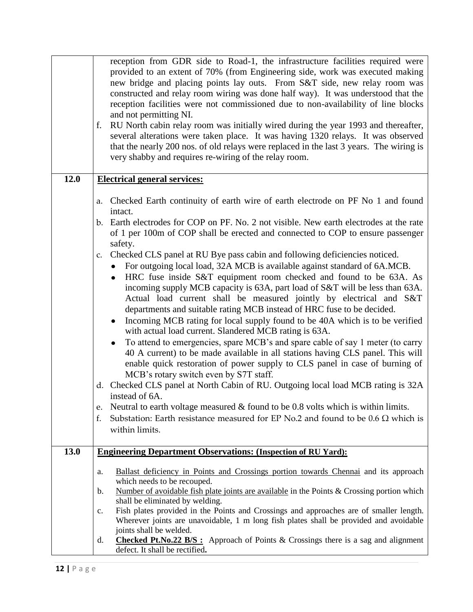|      | reception from GDR side to Road-1, the infrastructure facilities required were<br>provided to an extent of 70% (from Engineering side, work was executed making<br>new bridge and placing points lay outs. From S&T side, new relay room was<br>constructed and relay room wiring was done half way). It was understood that the<br>reception facilities were not commissioned due to non-availability of line blocks<br>and not permitting NI.<br>f. RU North cabin relay room was initially wired during the year 1993 and thereafter,<br>several alterations were taken place. It was having 1320 relays. It was observed<br>that the nearly 200 nos. of old relays were replaced in the last 3 years. The wiring is<br>very shabby and requires re-wiring of the relay room.                                                                                                                                                                                                                                                                                                                                                                                                                                                                                                                                                                                                                                                                                                                                                      |
|------|---------------------------------------------------------------------------------------------------------------------------------------------------------------------------------------------------------------------------------------------------------------------------------------------------------------------------------------------------------------------------------------------------------------------------------------------------------------------------------------------------------------------------------------------------------------------------------------------------------------------------------------------------------------------------------------------------------------------------------------------------------------------------------------------------------------------------------------------------------------------------------------------------------------------------------------------------------------------------------------------------------------------------------------------------------------------------------------------------------------------------------------------------------------------------------------------------------------------------------------------------------------------------------------------------------------------------------------------------------------------------------------------------------------------------------------------------------------------------------------------------------------------------------------|
| 12.0 | <b>Electrical general services:</b>                                                                                                                                                                                                                                                                                                                                                                                                                                                                                                                                                                                                                                                                                                                                                                                                                                                                                                                                                                                                                                                                                                                                                                                                                                                                                                                                                                                                                                                                                                   |
|      | a. Checked Earth continuity of earth wire of earth electrode on PF No 1 and found<br>intact.<br>b. Earth electrodes for COP on PF. No. 2 not visible. New earth electrodes at the rate<br>of 1 per 100m of COP shall be erected and connected to COP to ensure passenger<br>safety.<br>c. Checked CLS panel at RU Bye pass cabin and following deficiencies noticed.<br>• For outgoing local load, 32A MCB is available against standard of 6A.MCB.<br>HRC fuse inside S&T equipment room checked and found to be 63A. As<br>incoming supply MCB capacity is 63A, part load of S&T will be less than 63A.<br>Actual load current shall be measured jointly by electrical and S&T<br>departments and suitable rating MCB instead of HRC fuse to be decided.<br>Incoming MCB rating for local supply found to be 40A which is to be verified<br>$\bullet$<br>with actual load current. Slandered MCB rating is 63A.<br>To attend to emergencies, spare MCB's and spare cable of say 1 meter (to carry<br>40 A current) to be made available in all stations having CLS panel. This will<br>enable quick restoration of power supply to CLS panel in case of burning of<br>MCB's rotary switch even by S7T staff.<br>d. Checked CLS panel at North Cabin of RU. Outgoing local load MCB rating is 32A<br>instead of 6A.<br>Neutral to earth voltage measured $\&$ found to be 0.8 volts which is within limits.<br>e.<br>Substation: Earth resistance measured for EP No.2 and found to be $0.6 \Omega$ which is<br>f.<br>within limits. |
| 13.0 | <b>Engineering Department Observations: (Inspection of RU Yard):</b>                                                                                                                                                                                                                                                                                                                                                                                                                                                                                                                                                                                                                                                                                                                                                                                                                                                                                                                                                                                                                                                                                                                                                                                                                                                                                                                                                                                                                                                                  |
|      | Ballast deficiency in Points and Crossings portion towards Chennai and its approach<br>a.<br>which needs to be recouped.<br>Number of avoidable fish plate joints are available in the Points & Crossing portion which<br>$\mathbf b$ .<br>shall be eliminated by welding.<br>Fish plates provided in the Points and Crossings and approaches are of smaller length.<br>$\mathbf{c}$ .<br>Wherever joints are unavoidable, 1 m long fish plates shall be provided and avoidable<br>joints shall be welded.<br><b>Checked Pt.No.22 B/S</b> : Approach of Points & Crossings there is a sag and alignment<br>d.<br>defect. It shall be rectified.                                                                                                                                                                                                                                                                                                                                                                                                                                                                                                                                                                                                                                                                                                                                                                                                                                                                                       |